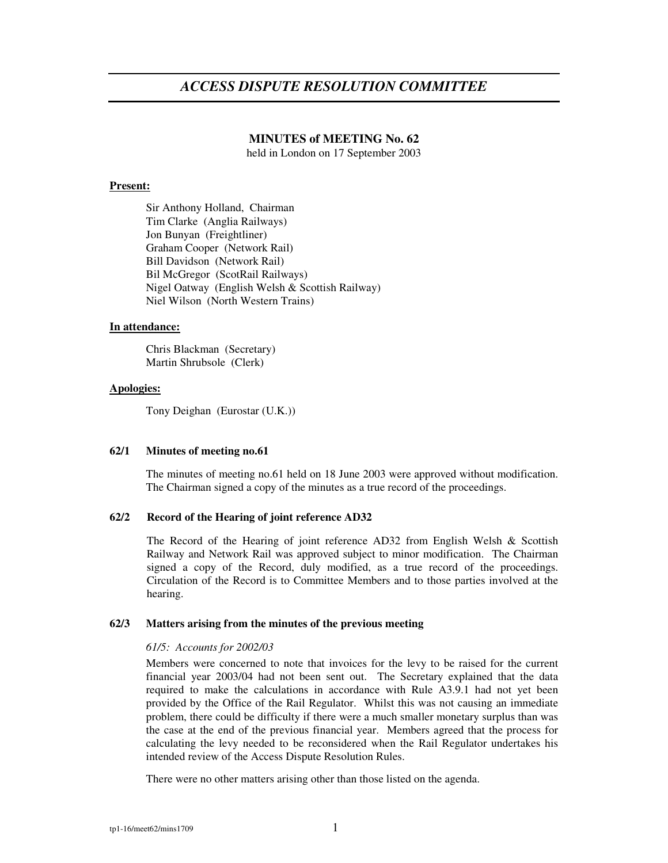# **MINUTES of MEETING No. 62**

held in London on 17 September 2003

## **Present:**

Sir Anthony Holland, Chairman Tim Clarke (Anglia Railways) Jon Bunyan (Freightliner) Graham Cooper (Network Rail) Bill Davidson (Network Rail) Bil McGregor (ScotRail Railways) Nigel Oatway (English Welsh & Scottish Railway) Niel Wilson (North Western Trains)

### **In attendance:**

Chris Blackman (Secretary) Martin Shrubsole (Clerk)

### **Apologies:**

Tony Deighan (Eurostar (U.K.))

### **62/1 Minutes of meeting no.61**

The minutes of meeting no.61 held on 18 June 2003 were approved without modification. The Chairman signed a copy of the minutes as a true record of the proceedings.

### **62/2 Record of the Hearing of joint reference AD32**

The Record of the Hearing of joint reference AD32 from English Welsh & Scottish Railway and Network Rail was approved subject to minor modification. The Chairman signed a copy of the Record, duly modified, as a true record of the proceedings. Circulation of the Record is to Committee Members and to those parties involved at the hearing.

### **62/3 Matters arising from the minutes of the previous meeting**

### *61/5: Accounts for 2002/03*

Members were concerned to note that invoices for the levy to be raised for the current financial year 2003/04 had not been sent out. The Secretary explained that the data required to make the calculations in accordance with Rule A3.9.1 had not yet been provided by the Office of the Rail Regulator. Whilst this was not causing an immediate problem, there could be difficulty if there were a much smaller monetary surplus than was the case at the end of the previous financial year. Members agreed that the process for calculating the levy needed to be reconsidered when the Rail Regulator undertakes his intended review of the Access Dispute Resolution Rules.

There were no other matters arising other than those listed on the agenda.